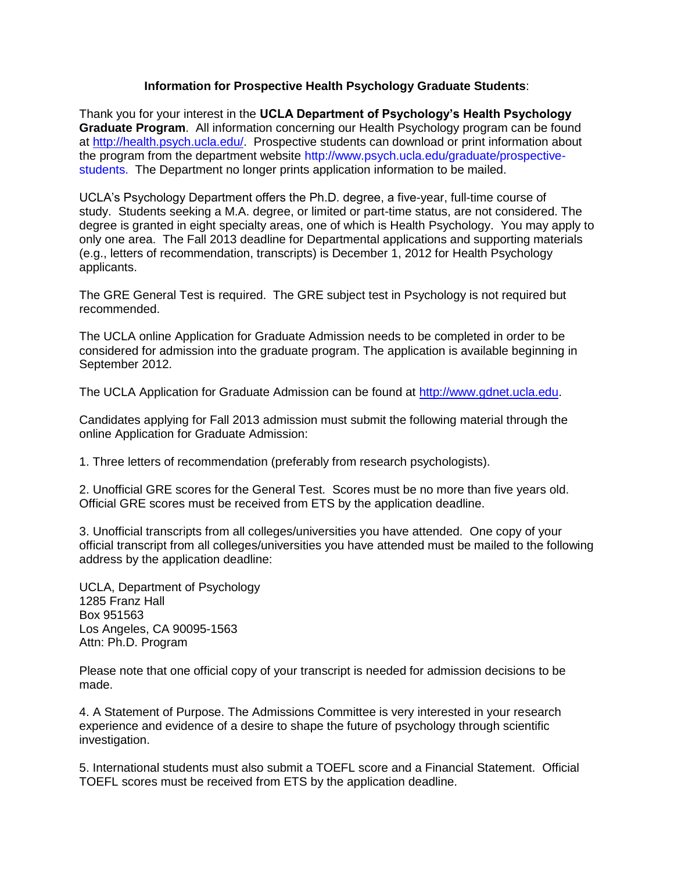## **Information for Prospective Health Psychology Graduate Students**:

Thank you for your interest in the **UCLA Department of Psychology's Health Psychology Graduate Program**. All information concerning our Health Psychology program can be found at http://health.psych.ucla.edu/. Prospective students can download or print information about the program from the department website http://www.psych.ucla.edu/graduate/prospectivestudents. The Department no longer prints application information to be mailed.

UCLA's Psychology Department offers the Ph.D. degree, a five-year, full-time course of study. Students seeking a M.A. degree, or limited or part-time status, are not considered. The degree is granted in eight specialty areas, one of which is Health Psychology. You may apply to only one area. The Fall 2013 deadline for Departmental applications and supporting materials (e.g., letters of recommendation, transcripts) is December 1, 2012 for Health Psychology applicants.

The GRE General Test is required. The GRE subject test in Psychology is not required but recommended.

The UCLA online Application for Graduate Admission needs to be completed in order to be considered for admission into the graduate program. The application is available beginning in September 2012.

The UCLA Application for Graduate Admission can be found at http://www.gdnet.ucla.edu.

Candidates applying for Fall 2013 admission must submit the following material through the online Application for Graduate Admission:

1. Three letters of recommendation (preferably from research psychologists).

2. Unofficial GRE scores for the General Test. Scores must be no more than five years old. Official GRE scores must be received from ETS by the application deadline.

3. Unofficial transcripts from all colleges/universities you have attended. One copy of your official transcript from all colleges/universities you have attended must be mailed to the following address by the application deadline:

UCLA, Department of Psychology 1285 Franz Hall Box 951563 Los Angeles, CA 90095-1563 Attn: Ph.D. Program

Please note that one official copy of your transcript is needed for admission decisions to be made.

4. A Statement of Purpose. The Admissions Committee is very interested in your research experience and evidence of a desire to shape the future of psychology through scientific investigation.

5. International students must also submit a TOEFL score and a Financial Statement. Official TOEFL scores must be received from ETS by the application deadline.